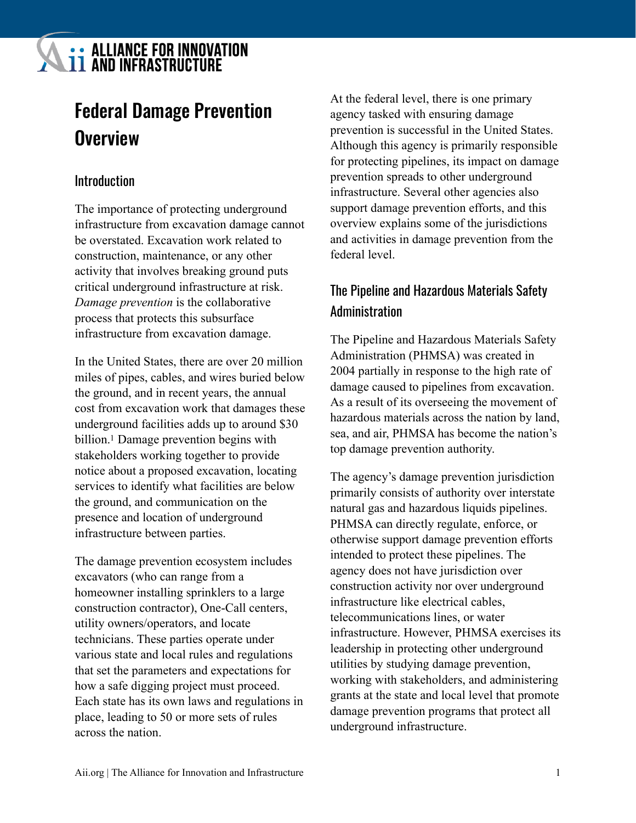# **LE ALLIANCE FOR INNOVATION**

## Federal Damage Prevention **Overview**

## Introduction

The importance of protecting underground infrastructure from excavation damage cannot be overstated. Excavation work related to construction, maintenance, or any other activity that involves breaking ground puts critical underground infrastructure at risk. *Damage prevention* is the collaborative process that protects this subsurface infrastructure from excavation damage.

<span id="page-0-0"></span>In the United States, there are over 20 million miles of pipes, cables, and wires buried below the ground, and in recent years, the annual cost from excavation work that damages these underground facilities adds up to around \$30 billion[.](#page-3-0)<sup>[1](#page-3-0)</sup> Damage prevention begins with stakeholders working together to provide notice about a proposed excavation, locating services to identify what facilities are below the ground, and communication on the presence and location of underground infrastructure between parties.

The damage prevention ecosystem includes excavators (who can range from a homeowner installing sprinklers to a large construction contractor), One-Call centers, utility owners/operators, and locate technicians. These parties operate under various state and local rules and regulations that set the parameters and expectations for how a safe digging project must proceed. Each state has its own laws and regulations in place, leading to 50 or more sets of rules across the nation.

At the federal level, there is one primary agency tasked with ensuring damage prevention is successful in the United States. Although this agency is primarily responsible for protecting pipelines, its impact on damage prevention spreads to other underground infrastructure. Several other agencies also support damage prevention efforts, and this overview explains some of the jurisdictions and activities in damage prevention from the federal level.

## The Pipeline and Hazardous Materials Safety Administration

The Pipeline and Hazardous Materials Safety Administration (PHMSA) was created in 2004 partially in response to the high rate of damage caused to pipelines from excavation. As a result of its overseeing the movement of hazardous materials across the nation by land, sea, and air, PHMSA has become the nation's top damage prevention authority.

The agency's damage prevention jurisdiction primarily consists of authority over interstate natural gas and hazardous liquids pipelines. PHMSA can directly regulate, enforce, or otherwise support damage prevention efforts intended to protect these pipelines. The agency does not have jurisdiction over construction activity nor over underground infrastructure like electrical cables, telecommunications lines, or water infrastructure. However, PHMSA exercises its leadership in protecting other underground utilities by studying damage prevention, working with stakeholders, and administering grants at the state and local level that promote damage prevention programs that protect all underground infrastructure.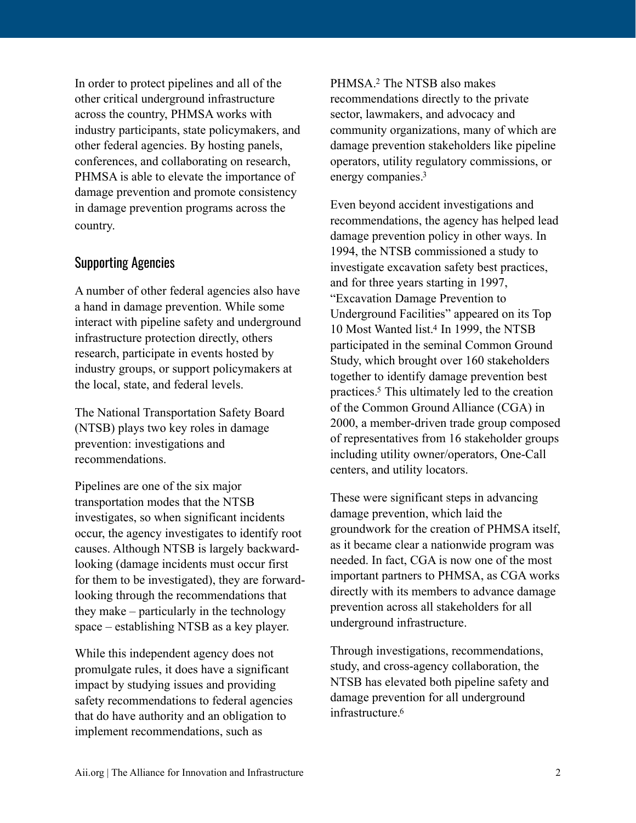In order to protect pipelines and all of the other critical underground infrastructure across the country, PHMSA works with industry participants, state policymakers, and other federal agencies. By hosting panels, conferences, and collaborating on research, PHMSA is able to elevate the importance of damage prevention and promote consistency in damage prevention programs across the country.

### Supporting Agencies

A number of other federal agencies also have a hand in damage prevention. While some interact with pipeline safety and underground infrastructure protection directly, others research, participate in events hosted by industry groups, or support policymakers at the local, state, and federal levels.

The National Transportation Safety Board (NTSB) plays two key roles in damage prevention: investigations and recommendations.

Pipelines are one of the six major transportation modes that the NTSB investigates, so when significant incidents occur, the agency investigates to identify root causes. Although NTSB is largely backwardlooking (damage incidents must occur first for them to be investigated), they are forwardlooking through the recommendations that they make – particularly in the technology space – establishing NTSB as a key player.

While this independent agency does not promulgate rules, it does have a significant impact by studying issues and providing safety recommendations to federal agencies that do have authority and an obligation to implement recommendations, such as

<span id="page-1-0"></span>PHMSA[.](#page-3-1)<sup>[2](#page-3-1)</sup> The NTSB also makes recommendations directly to the private sector, lawmakers, and advocacy and community organizations, many of which are damage prevention stakeholders like pipeline operators, utility regulatory commissions, or energy companies[.3](#page-3-2)

<span id="page-1-2"></span><span id="page-1-1"></span>Even beyond accident investigations and recommendations, the agency has helped lead damage prevention policy in other ways. In 1994, the NTSB commissioned a study to investigate excavation safety best practices, and for three years starting in 1997, "Excavation Damage Prevention to Underground Facilities" appeared on its Top 10 Most Wanted list[.](#page-3-3)<sup>[4](#page-3-3)</sup> In 1999, the NTSB participated in the seminal Common Ground Study, which brought over 160 stakeholders together to identify damage prevention best practices[.](#page-3-4)<sup>[5](#page-3-4)</sup> This ultimately led to the creation of the Common Ground Alliance (CGA) in 2000, a member-driven trade group composed of representatives from 16 stakeholder groups including utility owner/operators, One-Call centers, and utility locators.

<span id="page-1-3"></span>These were significant steps in advancing damage prevention, which laid the groundwork for the creation of PHMSA itself, as it became clear a nationwide program was needed. In fact, CGA is now one of the most important partners to PHMSA, as CGA works directly with its members to advance damage prevention across all stakeholders for all underground infrastructure.

<span id="page-1-4"></span>Through investigations, recommendations, study, and cross-agency collaboration, the NTSB has elevated both pipeline safety and damage prevention for all underground infrastructure<sup>6</sup>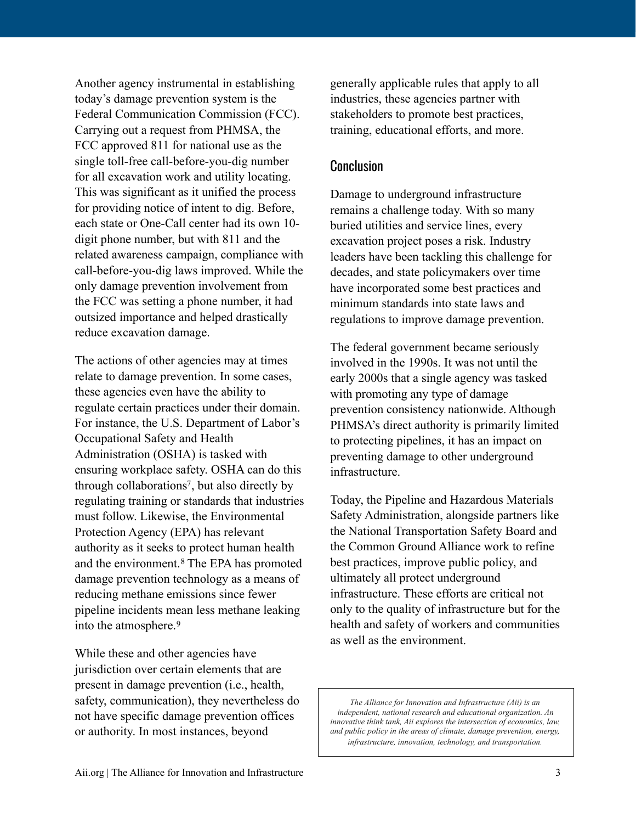Another agency instrumental in establishing today's damage prevention system is the Federal Communication Commission (FCC). Carrying out a request from PHMSA, the FCC approved 811 for national use as the single toll-free call-before-you-dig number for all excavation work and utility locating. This was significant as it unified the process for providing notice of intent to dig. Before, each state or One-Call center had its own 10 digit phone number, but with 811 and the related awareness campaign, compliance with call-before-you-dig laws improved. While the only damage prevention involvement from the FCC was setting a phone number, it had outsized importance and helped drastically reduce excavation damage.

The actions of other agencies may at times relate to damage prevention. In some cases, these agencies even have the ability to regulate certain practices under their domain. For instance, the U.S. Department of Labor's Occupational Safety and Health Administration (OSHA) is tasked with ensuring workplace safety. OSHA can do this through collaborations<sup>[7](#page-3-6)</sup>, but also directly by regulating training or standards that industries must follow. Likewise, the Environmental Protection Agency (EPA) has relevant authority as it seeks to protect human health andthe environment.<sup>[8](#page-3-7)</sup> The EPA has promoted damage prevention technology as a means of reducing methane emissions since fewer pipeline incidents mean less methane leaking into the atmosphere.[9](#page-3-8)

<span id="page-2-2"></span><span id="page-2-1"></span>While these and other agencies have jurisdiction over certain elements that are present in damage prevention (i.e., health, safety, communication), they nevertheless do not have specific damage prevention offices or authority. In most instances, beyond

generally applicable rules that apply to all industries, these agencies partner with stakeholders to promote best practices, training, educational efforts, and more.

#### **Conclusion**

Damage to underground infrastructure remains a challenge today. With so many buried utilities and service lines, every excavation project poses a risk. Industry leaders have been tackling this challenge for decades, and state policymakers over time have incorporated some best practices and minimum standards into state laws and regulations to improve damage prevention.

The federal government became seriously involved in the 1990s. It was not until the early 2000s that a single agency was tasked with promoting any type of damage prevention consistency nationwide. Although PHMSA's direct authority is primarily limited to protecting pipelines, it has an impact on preventing damage to other underground infrastructure.

<span id="page-2-0"></span>Today, the Pipeline and Hazardous Materials Safety Administration, alongside partners like the National Transportation Safety Board and the Common Ground Alliance work to refine best practices, improve public policy, and ultimately all protect underground infrastructure. These efforts are critical not only to the quality of infrastructure but for the health and safety of workers and communities as well as the environment.

*The Alliance for Innovation and Infrastructure (Aii) is an independent, national research and educational organization. An innovative think tank, Aii explores the intersection of economics, law, and public policy in the areas of climate, damage prevention, energy, infrastructure, innovation, technology, and transportation.*